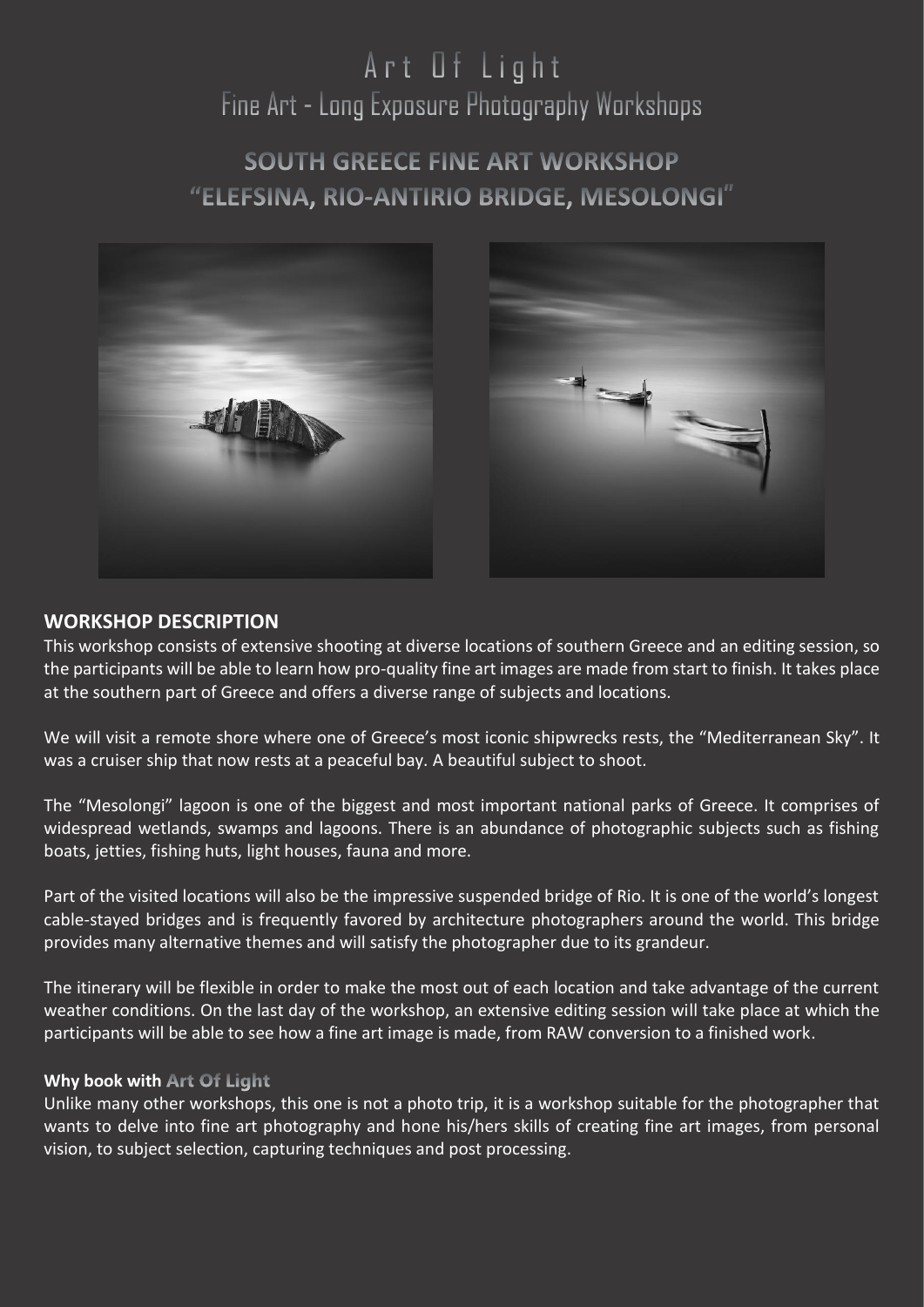# Art Of Light Fine Art - Long Exposure Photography Workshops

# **SOUTH GREECE FINE ART WORKSHOP** "ELEFSINA, RIO-ANTIRIO BRIDGE, MESOLONGI"



# **WORKSHOP DESCRIPTION**

This workshop consists of extensive shooting at diverse locations of southern Greece and an editing session, so the participants will be able to learn how pro-quality fine art images are made from start to finish. It takes place at the southern part of Greece and offers a diverse range of subjects and locations.

We will visit a remote shore where one of Greece's most iconic shipwrecks rests, the "Mediterranean Sky". It was a cruiser ship that now rests at a peaceful bay. A beautiful subject to shoot.

The "Mesolongi" lagoon is one of the biggest and most important national parks of Greece. It comprises of widespread wetlands, swamps and lagoons. There is an abundance of photographic subjects such as fishing boats, jetties, fishing huts, light houses, fauna and more.

Part of the visited locations will also be the impressive suspended bridge of Rio. It is one of the world's longest cable-stayed bridges and is frequently favored by architecture photographers around the world. This bridge provides many alternative themes and will satisfy the photographer due to its grandeur.

The itinerary will be flexible in order to make the most out of each location and take advantage of the current weather conditions. On the last day of the workshop, an extensive editing session will take place at which the participants will be able to see how a fine art image is made, from RAW conversion to a finished work.

#### **Why book with Art Of Light**

Unlike many other workshops, this one is not a photo trip, it is a workshop suitable for the photographer that wants to delve into fine art photography and hone his/hers skills of creating fine art images, from personal vision, to subject selection, capturing techniques and post processing.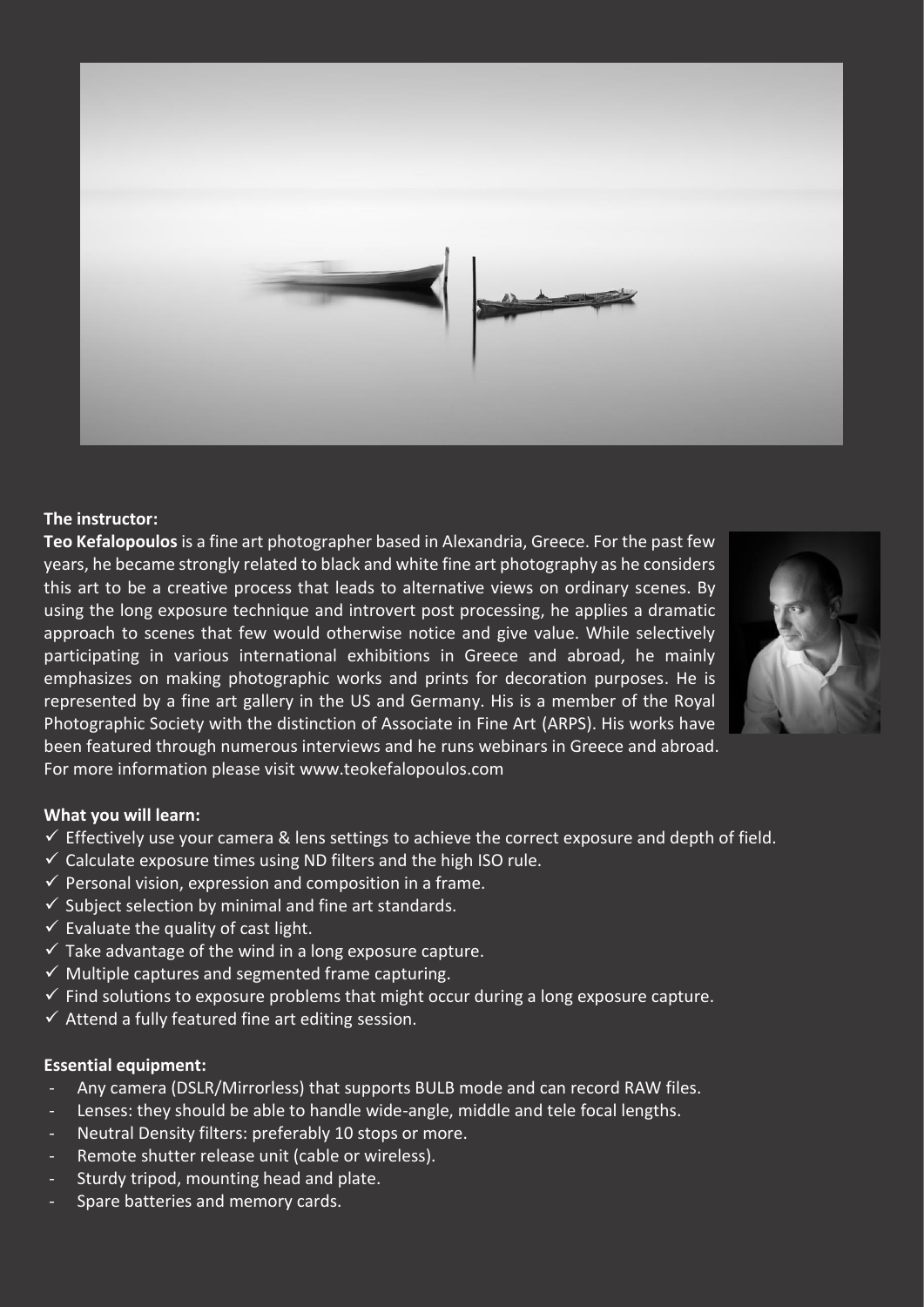

#### **The instructor:**

**Teo Kefalopoulos** is a fine art photographer based in Alexandria, Greece. For the past few years, he became strongly related to black and white fine art photography as he considers this art to be a creative process that leads to alternative views on ordinary scenes. By using the long exposure technique and introvert post processing, he applies a dramatic approach to scenes that few would otherwise notice and give value. While selectively participating in various international exhibitions in Greece and abroad, he mainly emphasizes on making photographic works and prints for decoration purposes. He is represented by a fine art gallery in the US and Germany. His is a member of the Royal Photographic Society with the distinction of Associate in Fine Art (ARPS). His works have been featured through numerous interviews and he runs webinars in Greece and abroad. For more information please visit [www.teokefalopoulos.com](http://www.teokefalopoulos.com/)



#### **What you will learn:**

- $\checkmark$  Effectively use your camera & lens settings to achieve the correct exposure and depth of field.
- $\checkmark$  Calculate exposure times using ND filters and the high ISO rule.
- $\checkmark$  Personal vision, expression and composition in a frame.
- $\checkmark$  Subject selection by minimal and fine art standards.
- $\checkmark$  Evaluate the quality of cast light.
- $\checkmark$  Take advantage of the wind in a long exposure capture.
- $\checkmark$  Multiple captures and segmented frame capturing.
- $\checkmark$  Find solutions to exposure problems that might occur during a long exposure capture.
- $\checkmark$  Attend a fully featured fine art editing session.

#### **Essential equipment:**

- Any camera (DSLR/Mirrorless) that supports BULB mode and can record RAW files.
- Lenses: they should be able to handle wide-angle, middle and tele focal lengths.
- Neutral Density filters: preferably 10 stops or more.
- Remote shutter release unit (cable or wireless).
- Sturdy tripod, mounting head and plate.
- Spare batteries and memory cards.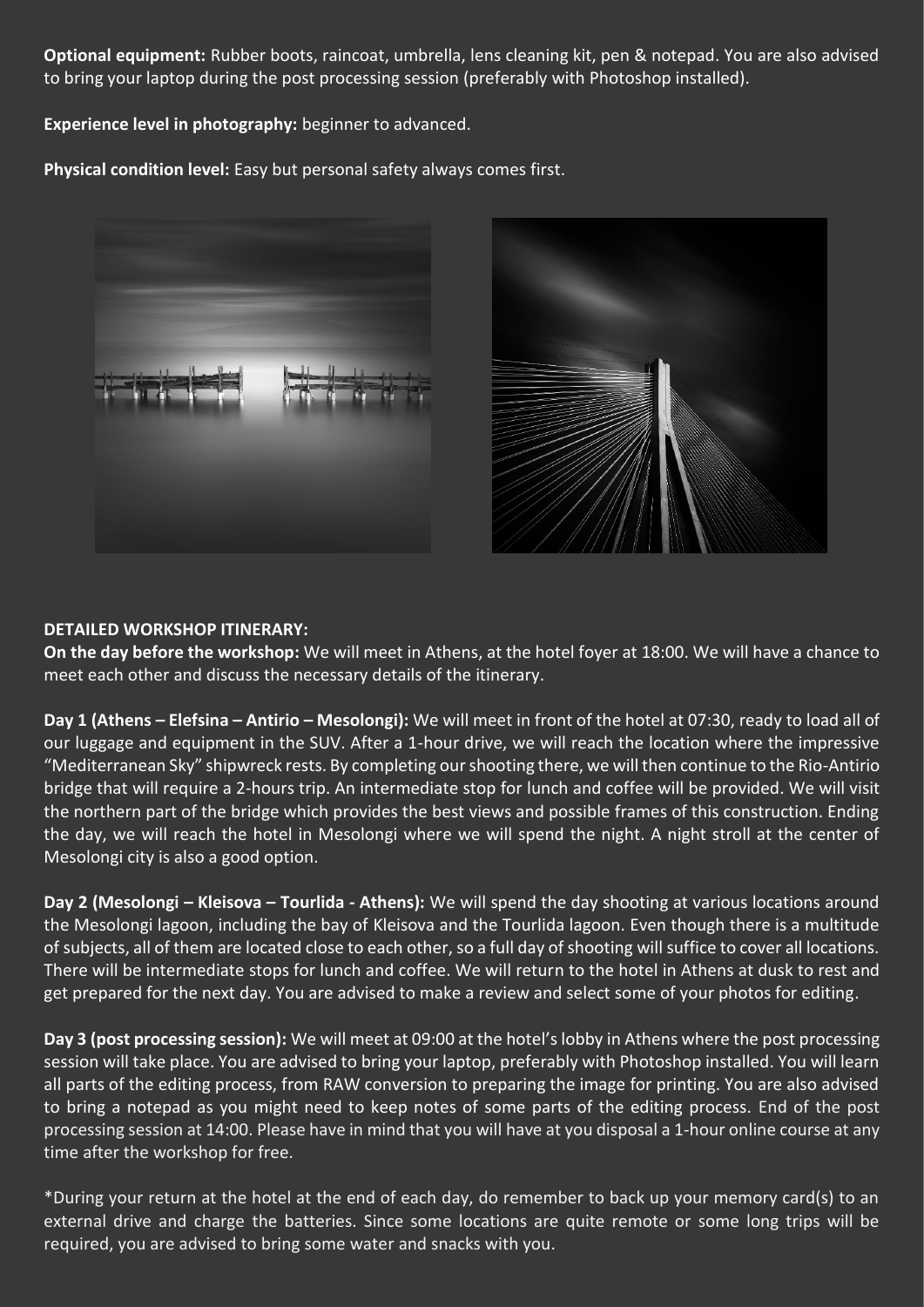**Optional equipment:** Rubber boots, raincoat, umbrella, lens cleaning kit, pen & notepad. You are also advised to bring your laptop during the post processing session (preferably with Photoshop installed).

**Experience level in photography:** beginner to advanced.

**Physical condition level:** Easy but personal safety always comes first.





# **DETAILED WORKSHOP ITINERARY:**

**On the day before the workshop:** We will meet in Athens, at the hotel foyer at 18:00. We will have a chance to meet each other and discuss the necessary details of the itinerary.

**Day 1 (Athens – Elefsina – Antirio – Mesolongi):** We will meet in front of the hotel at 07:30, ready to load all of our luggage and equipment in the SUV. After a 1-hour drive, we will reach the location where the impressive "Mediterranean Sky" shipwreck rests. By completing our shooting there, we will then continue to the Rio-Antirio bridge that will require a 2-hours trip. An intermediate stop for lunch and coffee will be provided. We will visit the northern part of the bridge which provides the best views and possible frames of this construction. Ending the day, we will reach the hotel in Mesolongi where we will spend the night. A night stroll at the center of Mesolongi city is also a good option.

**Day 2 (Mesolongi – Kleisova – Tourlida - Athens):** We will spend the day shooting at various locations around the Mesolongi lagoon, including the bay of Kleisova and the Tourlida lagoon. Even though there is a multitude of subjects, all of them are located close to each other, so a full day of shooting will suffice to cover all locations. There will be intermediate stops for lunch and coffee. We will return to the hotel in Athens at dusk to rest and get prepared for the next day. You are advised to make a review and select some of your photos for editing.

**Day 3 (post processing session):** We will meet at 09:00 at the hotel's lobby in Athens where the post processing session will take place. You are advised to bring your laptop, preferably with Photoshop installed. You will learn all parts of the editing process, from RAW conversion to preparing the image for printing. You are also advised to bring a notepad as you might need to keep notes of some parts of the editing process. End of the post processing session at 14:00. Please have in mind that you will have at you disposal a 1-hour online course at any time after the workshop for free.

\*During your return at the hotel at the end of each day, do remember to back up your memory card(s) to an external drive and charge the batteries. Since some locations are quite remote or some long trips will be required, you are advised to bring some water and snacks with you.